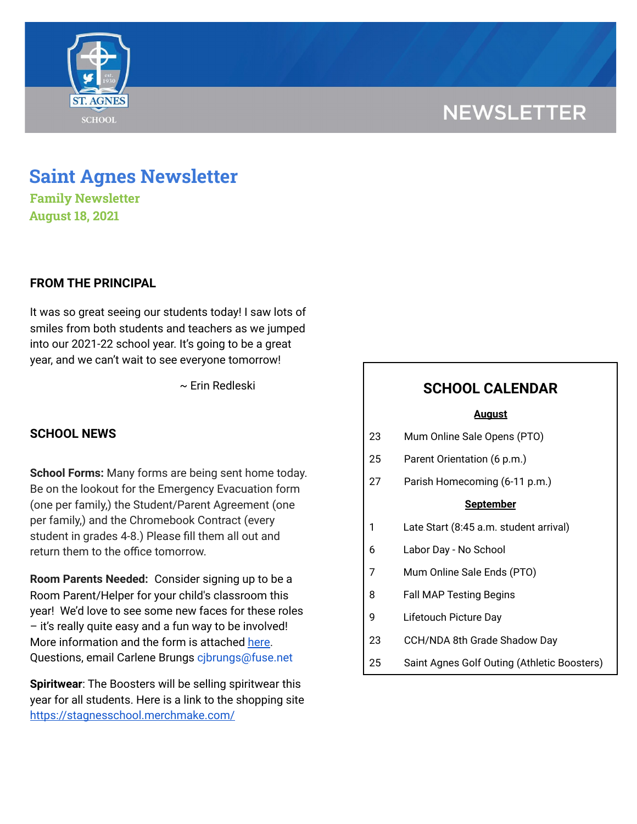# **NEWSLETTER**



**Family Newsletter August 18, 2021**

# **FROM THE PRINCIPAL**

It was so great seeing our students today! I saw lots of smiles from both students and teachers as we jumped into our 2021-22 school year. It's going to be a great year, and we can't wait to see everyone tomorrow!

~ Erin Redleski

## **SCHOOL NEWS**

**School Forms:** Many forms are being sent home today. Be on the lookout for the Emergency Evacuation form (one per family,) the Student/Parent Agreement (one per family,) and the Chromebook Contract (every student in grades 4-8.) Please fill them all out and return them to the office tomorrow.

**Room Parents Needed:** Consider signing up to be a Room Parent/Helper for your child's classroom this year! We'd love to see some new faces for these roles – it's really quite easy and a fun way to be involved! More information and the form is attached [here.](https://school.saintagnes.com/wp-content/uploads/2021/08/Room-Parent-Signup-2021-22_Final.pdf) Questions, email Carlene Brungs cjbrungs@fuse.net

**Spiritwear**: The Boosters will be selling spiritwear this year for all students. Here is a link to the shopping site <https://stagnesschool.merchmake.com/>

# **SCHOOL CALENDAR**

#### **August**

| 23 | Mum Online Sale Opens (PTO) |  |  |
|----|-----------------------------|--|--|
|----|-----------------------------|--|--|

- 25 Parent Orientation (6 p.m.)
- 27 Parish Homecoming (6-11 p.m.)

#### **September**

- 1 Late Start (8:45 a.m. student arrival)
- 6 Labor Day No School
- 7 Mum Online Sale Ends (PTO)
- 8 Fall MAP Testing Begins
- 9 Lifetouch Picture Day
- 23 CCH/NDA 8th Grade Shadow Day
- 25 Saint Agnes Golf Outing (Athletic Boosters)